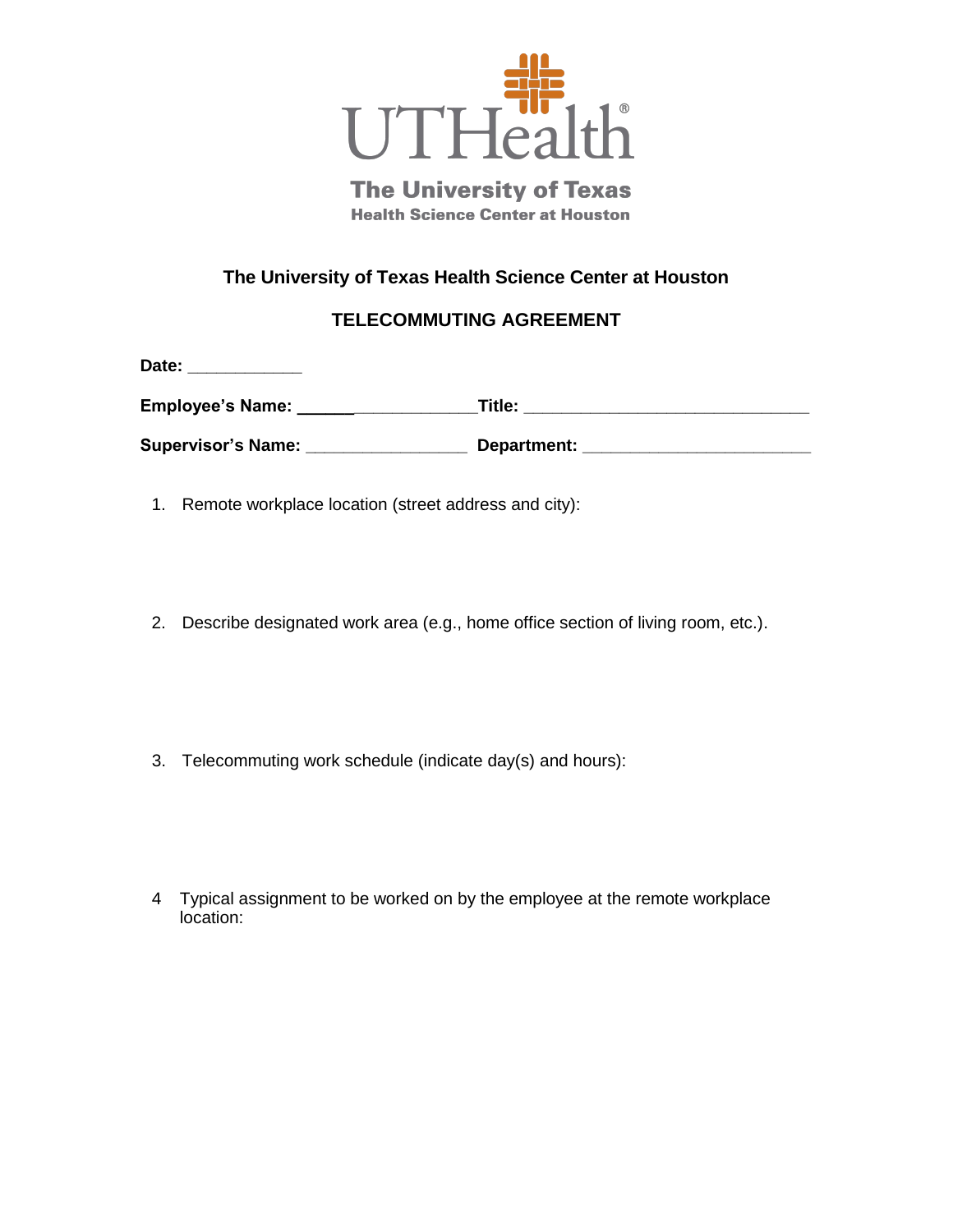

**The University of Texas Health Science Center at Houston** 

## **The University of Texas Health Science Center at Houston**

## **TELECOMMUTING AGREEMENT**

| Employee's Name:   | Title:      |  |
|--------------------|-------------|--|
| Supervisor's Name: | Department: |  |

1. Remote workplace location (street address and city):

Date:

- 2. Describe designated work area (e.g., home office section of living room, etc.).
- 3. Telecommuting work schedule (indicate day(s) and hours):
- 4 Typical assignment to be worked on by the employee at the remote workplace location: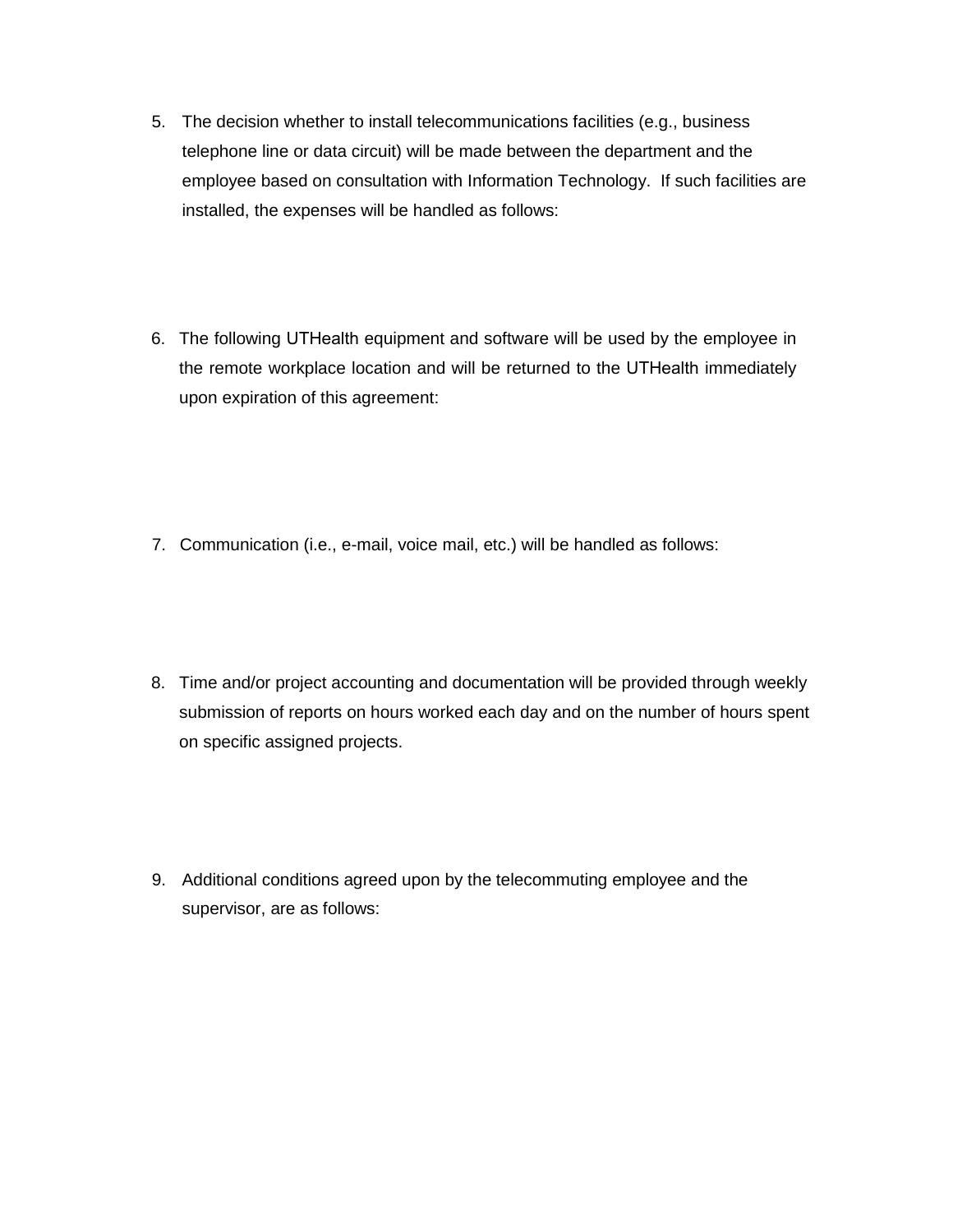- 5. The decision whether to install telecommunications facilities (e.g., business telephone line or data circuit) will be made between the department and the employee based on consultation with Information Technology. If such facilities are installed, the expenses will be handled as follows:
- 6. The following UTHealth equipment and software will be used by the employee in the remote workplace location and will be returned to the UTHealth immediately upon expiration of this agreement:

- 7. Communication (i.e., e-mail, voice mail, etc.) will be handled as follows:
- 8. Time and/or project accounting and documentation will be provided through weekly submission of reports on hours worked each day and on the number of hours spent on specific assigned projects.
- 9. Additional conditions agreed upon by the telecommuting employee and the supervisor, are as follows: